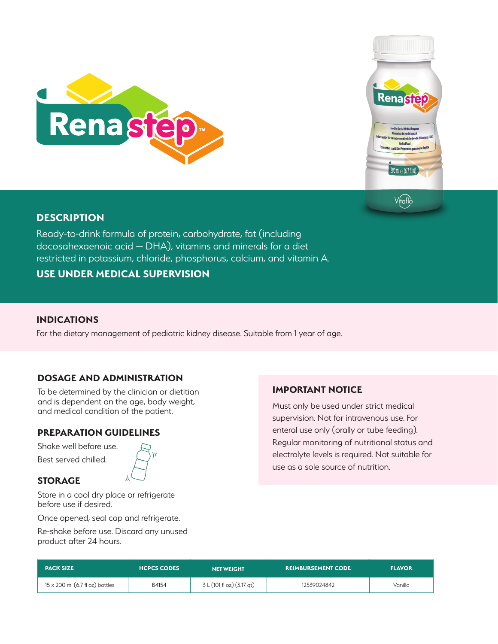

# **DESCRIPTION**



Ready-to-drink formula of protein, carbohydrate, fat (including docosahexaenoic acid — DHA), vitamins and minerals for a diet restricted in potassium, chloride, phosphorus, calcium, and vitamin A.

**USE UNDER MEDICAL SUPERVISION**

### **INDICATIONS**

For the dietary management of pediatric kidney disease. Suitable from 1 year of age.

# **DOSAGE AND ADMINISTRATION**

To be determined by the clinician or dietitian and is dependent on the age, body weight, and medical condition of the patient.

# **PREPARATION GUIDELINES**

Shake well before use. Best served chilled.



### **STORAGE**

Store in a cool dry place or refrigerate before use if desired.

Once opened, seal cap and refrigerate.

Re-shake before use. Discard any unused product after 24 hours.

# **IMPORTANT NOTICE**

Must only be used under strict medical supervision. Not for intravenous use. For enteral use only (orally or tube feeding). Regular monitoring of nutritional status and electrolyte levels is required. Not suitable for use as a sole source of nutrition.

| <b>PACK SIZE</b>                       | <b>HCPCS CODES</b> | <b>NET WEIGHT</b>         | <b>REIMBURSEMENT CODE</b> | <b>FLAVOR</b> |
|----------------------------------------|--------------------|---------------------------|---------------------------|---------------|
| $15 \times 200$ ml (6.7 fl oz) bottles | B4154              | 3 L (101 fl oz) (3.17 gt) | 12539024842               | Vanilla       |